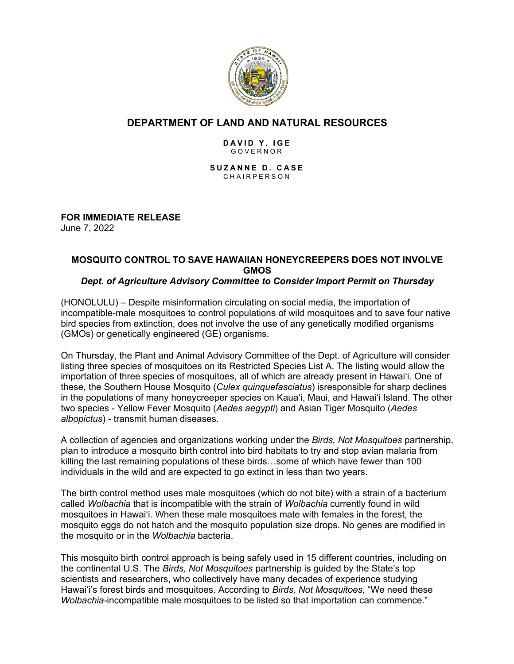

## **DEPARTMENT OF LAND AND NATURAL RESOURCES**

#### **DAVID Y. IGE** GOVERNOR

**SUZANNE D. CASE** CHAIRPERSON

**FOR IMMEDIATE RELEASE** June 7, 2022

# **MOSQUITO CONTROL TO SAVE HAWAIIAN HONEYCREEPERS DOES NOT INVOLVE GMOS**

### *Dept. of Agriculture Advisory Committee to Consider Import Permit on Thursday*

(HONOLULU) – Despite misinformation circulating on social media, the importation of incompatible-male mosquitoes to control populations of wild mosquitoes and to save four native bird species from extinction, does not involve the use of any genetically modified organisms (GMOs) or genetically engineered (GE) organisms.

On Thursday, the Plant and Animal Advisory Committee of the Dept. of Agriculture will consider listing three species of mosquitoes on its Restricted Species List A. The listing would allow the importation of three species of mosquitoes, all of which are already present in Hawai'i. One of these, the Southern House Mosquito (*Culex quinquefasciatus*) isresponsible for sharp declines in the populations of many honeycreeper species on Kaua'i, Maui, and Hawai'i Island. The other two species - Yellow Fever Mosquito (*Aedes aegypti*) and Asian Tiger Mosquito (*Aedes albopictus*) - transmit human diseases.

A collection of agencies and organizations working under the *Birds, Not Mosquitoes* partnership, plan to introduce a mosquito birth control into bird habitats to try and stop avian malaria from killing the last remaining populations of these birds…some of which have fewer than 100 individuals in the wild and are expected to go extinct in less than two years.

The birth control method uses male mosquitoes (which do not bite) with a strain of a bacterium called *Wolbachia* that is incompatible with the strain of *Wolbachia* currently found in wild mosquitoes in Hawaiʻi. When these male mosquitoes mate with females in the forest, the mosquito eggs do not hatch and the mosquito population size drops. No genes are modified in the mosquito or in the *Wolbachia* bacteria.

This mosquito birth control approach is being safely used in 15 different countries, including on the continental U.S. The *Birds, Not Mosquitoes* partnership is guided by the State's top scientists and researchers, who collectively have many decades of experience studying Hawaiʻi's forest birds and mosquitoes. According to *Birds, Not Mosquitoes*, "We need these *Wolbachia-*incompatible male mosquitoes to be listed so that importation can commence."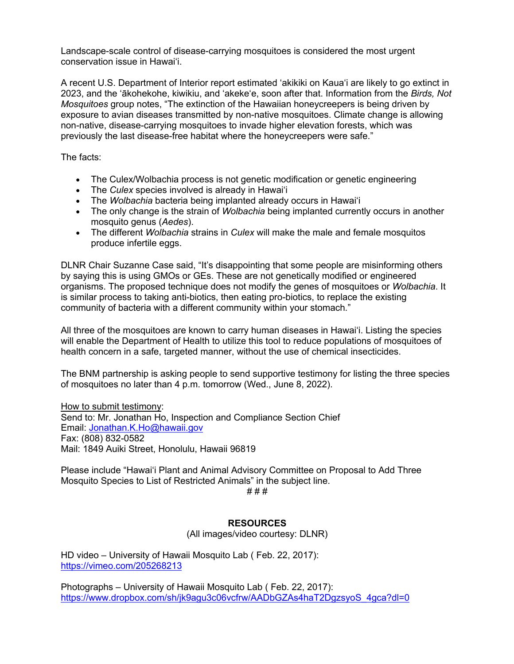Landscape-scale control of disease-carrying mosquitoes is considered the most urgent conservation issue in Hawai'i.

A recent U.S. Department of Interior report estimated 'akikiki on Kaua'i are likely to go extinct in 2023, and the ʻākohekohe, kiwikiu, and ʻakekeʻe, soon after that. Information from the *Birds, Not Mosquitoes* group notes, "The extinction of the Hawaiian honeycreepers is being driven by exposure to avian diseases transmitted by non-native mosquitoes. Climate change is allowing non-native, disease-carrying mosquitoes to invade higher elevation forests, which was previously the last disease-free habitat where the honeycreepers were safe."

The facts:

- The Culex/Wolbachia process is not genetic modification or genetic engineering
- The *Culex* species involved is already in Hawai'i
- The *Wolbachia* bacteria being implanted already occurs in Hawai'i
- The only change is the strain of *Wolbachia* being implanted currently occurs in another mosquito genus (*Aedes*).
- The different *Wolbachia* strains in *Culex* will make the male and female mosquitos produce infertile eggs.

DLNR Chair Suzanne Case said, "It's disappointing that some people are misinforming others by saying this is using GMOs or GEs. These are not genetically modified or engineered organisms. The proposed technique does not modify the genes of mosquitoes or *Wolbachia*. It is similar process to taking anti-biotics, then eating pro-biotics, to replace the existing community of bacteria with a different community within your stomach."

All three of the mosquitoes are known to carry human diseases in Hawai'i. Listing the species will enable the Department of Health to utilize this tool to reduce populations of mosquitoes of health concern in a safe, targeted manner, without the use of chemical insecticides.

The BNM partnership is asking people to send supportive testimony for listing the three species of mosquitoes no later than 4 p.m. tomorrow (Wed., June 8, 2022).

How to submit testimony: Send to: Mr. Jonathan Ho, Inspection and Compliance Section Chief Email: Jonathan.K.Ho@hawaii.gov Fax: (808) 832-0582 Mail: 1849 Auiki Street, Honolulu, Hawaii 96819

Please include "Hawai'i Plant and Animal Advisory Committee on Proposal to Add Three Mosquito Species to List of Restricted Animals" in the subject line.

# # #

#### **RESOURCES**

(All images/video courtesy: DLNR)

HD video – University of Hawaii Mosquito Lab ( Feb. 22, 2017): https://vimeo.com/205268213

Photographs – University of Hawaii Mosquito Lab ( Feb. 22, 2017): https://www.dropbox.com/sh/jk9agu3c06vcfrw/AADbGZAs4haT2DgzsyoS\_4gca?dl=0